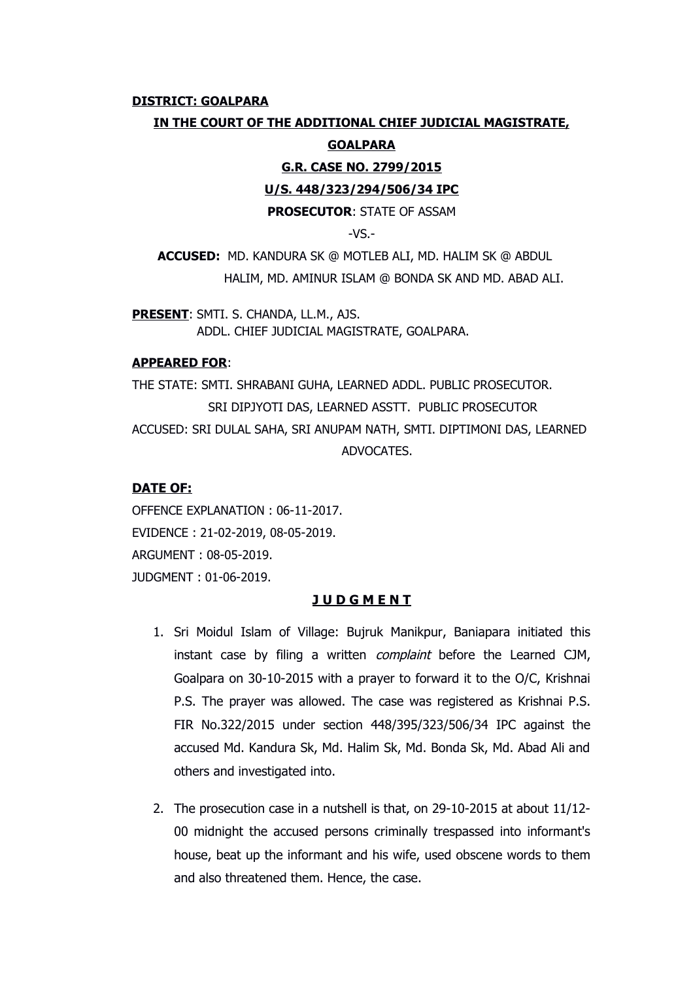#### **DISTRICT: GOALPARA**

### **IN THE COURT OF THE ADDITIONAL CHIEF JUDICIAL MAGISTRATE,**

#### **GOALPARA**

**G.R. CASE NO. 2799/2015**

#### **U/S. 448/323/294/506/34 IPC**

**PROSECUTOR**: STATE OF ASSAM

 $-VS$ .

**ACCUSED:** MD. KANDURA SK @ MOTLEB ALI, MD. HALIM SK @ ABDUL HALIM, MD. AMINUR ISLAM @ BONDA SK AND MD. ABAD ALI.

**PRESENT**: SMTI. S. CHANDA, LL.M., AJS. ADDL. CHIEF JUDICIAL MAGISTRATE, GOALPARA.

## **APPEARED FOR**:

THE STATE: SMTI. SHRABANI GUHA, LEARNED ADDL. PUBLIC PROSECUTOR. SRI DIPJYOTI DAS, LEARNED ASSTT. PUBLIC PROSECUTOR ACCUSED: SRI DULAL SAHA, SRI ANUPAM NATH, SMTI. DIPTIMONI DAS, LEARNED ADVOCATES.

# **DATE OF:**

OFFENCE EXPLANATION : 06-11-2017. EVIDENCE : 21-02-2019, 08-05-2019. ARGUMENT : 08-05-2019. JUDGMENT : 01-06-2019.

### **J U D G M E N T**

- 1. Sri Moidul Islam of Village: Bujruk Manikpur, Baniapara initiated this instant case by filing a written complaint before the Learned CJM, Goalpara on 30-10-2015 with a prayer to forward it to the O/C, Krishnai P.S. The prayer was allowed. The case was registered as Krishnai P.S. FIR No.322/2015 under section 448/395/323/506/34 IPC against the accused Md. Kandura Sk, Md. Halim Sk, Md. Bonda Sk, Md. Abad Ali and others and investigated into.
- 2. The prosecution case in a nutshell is that, on 29-10-2015 at about 11/12- 00 midnight the accused persons criminally trespassed into informant's house, beat up the informant and his wife, used obscene words to them and also threatened them. Hence, the case.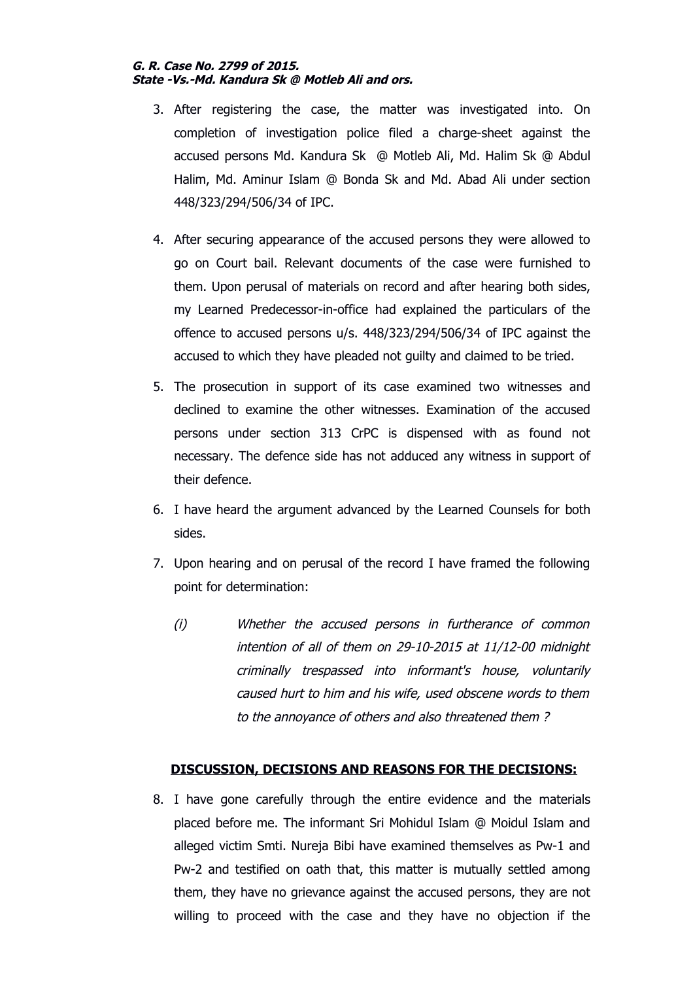## **G. R. Case No. 2799 of 2015. State -Vs.-Md. Kandura Sk @ Motleb Ali and ors.**

- 3. After registering the case, the matter was investigated into. On completion of investigation police filed a charge-sheet against the accused persons Md. Kandura Sk @ Motleb Ali, Md. Halim Sk @ Abdul Halim, Md. Aminur Islam @ Bonda Sk and Md. Abad Ali under section 448/323/294/506/34 of IPC.
- 4. After securing appearance of the accused persons they were allowed to go on Court bail. Relevant documents of the case were furnished to them. Upon perusal of materials on record and after hearing both sides, my Learned Predecessor-in-office had explained the particulars of the offence to accused persons u/s. 448/323/294/506/34 of IPC against the accused to which they have pleaded not guilty and claimed to be tried.
- 5. The prosecution in support of its case examined two witnesses and declined to examine the other witnesses. Examination of the accused persons under section 313 CrPC is dispensed with as found not necessary. The defence side has not adduced any witness in support of their defence.
- 6. I have heard the argument advanced by the Learned Counsels for both sides.
- 7. Upon hearing and on perusal of the record I have framed the following point for determination:
	- (i) Whether the accused persons in furtherance of common intention of all of them on 29-10-2015 at 11/12-00 midnight criminally trespassed into informant's house, voluntarily caused hurt to him and his wife, used obscene words to them to the annoyance of others and also threatened them ?

# **DISCUSSION, DECISIONS AND REASONS FOR THE DECISIONS:**

8. I have gone carefully through the entire evidence and the materials placed before me. The informant Sri Mohidul Islam @ Moidul Islam and alleged victim Smti. Nureja Bibi have examined themselves as Pw-1 and Pw-2 and testified on oath that, this matter is mutually settled among them, they have no grievance against the accused persons, they are not willing to proceed with the case and they have no objection if the